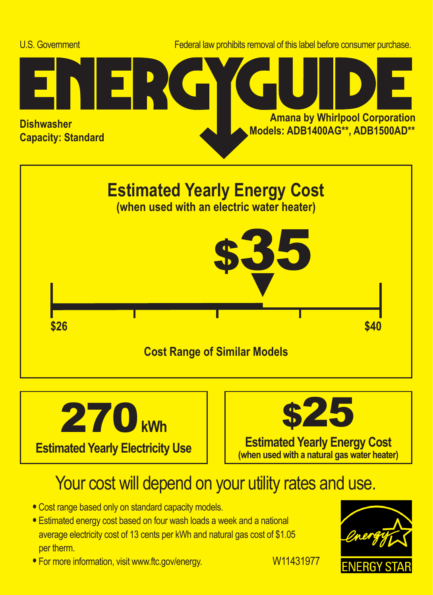





## Your cost will depend on your utility rates and use.

- **•** Cost range based only on standard capacity models.
- **•** Estimated energy cost based on four wash loads a week and a national average electricity cost of 13 cents per kWh and natural gas cost of \$1.05 per therm.
- For more information, visit www.ftc.gov/energy. W11431977